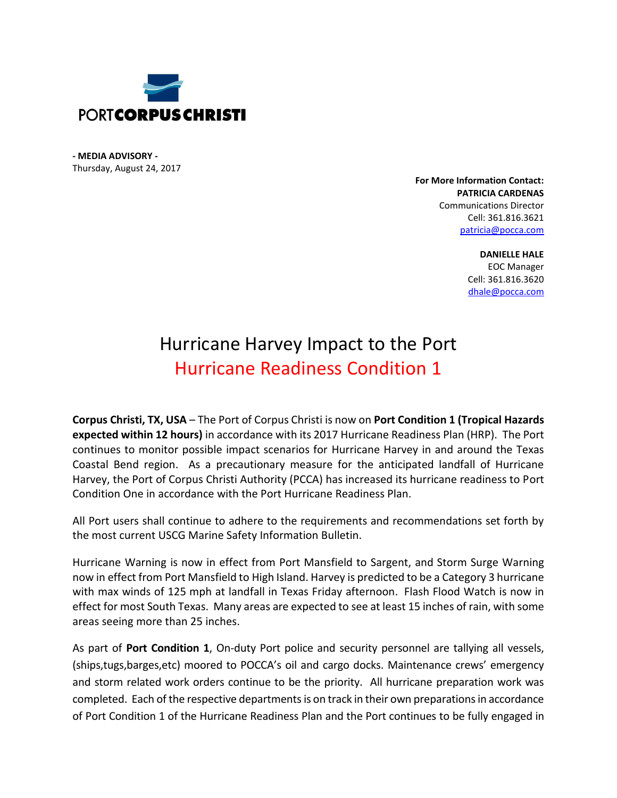

**- MEDIA ADVISORY -** Thursday, August 24, 2017

> **For More Information Contact: PATRICIA CARDENAS** Communications Director Cell: 361.816.3621 [patricia@pocca.com](mailto:patricia@pocca.com)

> > **DANIELLE HALE** EOC Manager Cell: 361.816.3620 [dhale@pocca.com](mailto:dhale@pocca.com)

## Hurricane Harvey Impact to the Port Hurricane Readiness Condition 1

**Corpus Christi, TX, USA** – The Port of Corpus Christi is now on **Port Condition 1 (Tropical Hazards expected within 12 hours)** in accordance with its 2017 Hurricane Readiness Plan (HRP). The Port continues to monitor possible impact scenarios for Hurricane Harvey in and around the Texas Coastal Bend region. As a precautionary measure for the anticipated landfall of Hurricane Harvey, the Port of Corpus Christi Authority (PCCA) has increased its hurricane readiness to Port Condition One in accordance with the Port Hurricane Readiness Plan.

All Port users shall continue to adhere to the requirements and recommendations set forth by the most current USCG Marine Safety Information Bulletin.

Hurricane Warning is now in effect from Port Mansfield to Sargent, and Storm Surge Warning now in effect from Port Mansfield to High Island. Harvey is predicted to be a Category 3 hurricane with max winds of 125 mph at landfall in Texas Friday afternoon. Flash Flood Watch is now in effect for most South Texas. Many areas are expected to see at least 15 inches of rain, with some areas seeing more than 25 inches.

As part of **Port Condition 1**, On-duty Port police and security personnel are tallying all vessels, (ships,tugs,barges,etc) moored to POCCA's oil and cargo docks. Maintenance crews' emergency and storm related work orders continue to be the priority. All hurricane preparation work was completed. Each of the respective departmentsis on track in their own preparations in accordance of Port Condition 1 of the Hurricane Readiness Plan and the Port continues to be fully engaged in